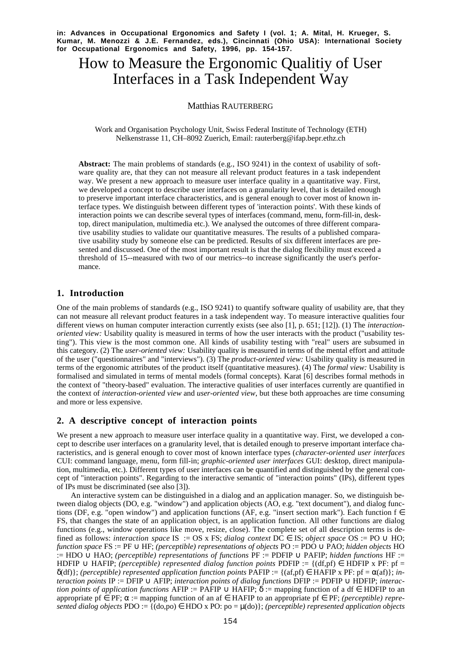**in: Advances in Occupational Ergonomics and Safety I (vol. 1; A. Mital, H. Krueger, S. Kumar, M. Menozzi & J.E. Fernandez, eds.), Cincinnati (Ohio USA): International Society for Occupational Ergonomics and Safety, 1996, pp. 154-157.**

# How to Measure the Ergonomic Qualitiy of User Interfaces in a Task Independent Way

Matthias RAUTERBERG

Work and Organisation Psychology Unit, Swiss Federal Institute of Technology (ETH) Nelkenstrasse 11, CH–8092 Zuerich, Email: rauterberg@ifap.bepr.ethz.ch

**Abstract:** The main problems of standards (e.g., ISO 9241) in the context of usability of software quality are, that they can not measure all relevant product features in a task independent way. We present a new approach to measure user interface quality in a quantitative way. First, we developed a concept to describe user interfaces on a granularity level, that is detailed enough to preserve important interface characteristics, and is general enough to cover most of known interface types. We distinguish between different types of 'interaction points'. With these kinds of interaction points we can describe several types of interfaces (command, menu, form-fill-in, desktop, direct manipulation, multimedia etc.). We analysed the outcomes of three different comparative usability studies to validate our quantitative measures. The results of a published comparative usability study by someone else can be predicted. Results of six different interfaces are presented and discussed. One of the most important result is that the dialog flexibility must exceed a threshold of 15--measured with two of our metrics--to increase significantly the user's performance.

# **1. Introduction**

One of the main problems of standards (e.g., ISO 9241) to quantify software quality of usability are, that they can not measure all relevant product features in a task independent way. To measure interactive qualities four different views on human computer interaction currently exists (see also [1], p. 651; [12]). (1) The *interactionoriented view:* Usability quality is measured in terms of how the user interacts with the product ("usability testing"). This view is the most common one. All kinds of usability testing with "real" users are subsumed in this category. (2) The *user-oriented view:* Usability quality is measured in terms of the mental effort and attitude of the user ("questionnaires" and "interviews"). (3) The *product-oriented view:* Usability quality is measured in terms of the ergonomic attributes of the product itself (quantitative measures). (4) The *formal view:* Usability is formalised and simulated in terms of mental models (formal concepts). Karat [6] describes formal methods in the context of "theory-based" evaluation. The interactive qualities of user interfaces currently are quantified in the context of *interaction-oriented view* and *user-oriented view*, but these both approaches are time consuming and more or less expensive.

# **2. A descriptive concept of interaction points**

We present a new approach to measure user interface quality in a quantitative way. First, we developed a concept to describe user interfaces on a granularity level, that is detailed enough to preserve important interface characteristics, and is general enough to cover most of known interface types (*character-oriented user interfaces* CUI: command language, menu, form fill-in; *graphic-oriented user interfaces* GUI: desktop, direct manipulation, multimedia, etc.). Different types of user interfaces can be quantified and distinguished by the general concept of "interaction points". Regarding to the interactive semantic of "interaction points" (IPs), different types of IPs must be discriminated (see also [3]).

An interactive system can be distinguished in a dialog and an application manager. So, we distinguish between dialog objects (DO, e.g. "window") and application objects (AO, e.g. "text document"), and dialog functions (DF, e.g. "open window") and application functions (AF, e.g. "insert section mark"). Each function  $f \in$ FS, that changes the state of an application object, is an application function. All other functions are dialog functions (e.g., window operations like move, resize, close). The complete set of all description terms is defined as follows: *interaction space* IS := OS x FS; *dialog context* DC  $\in$  IS; *object space* OS := PO  $\cup$  HO; *function space* FS := PF ∪ HF; *(perceptible) representations of objects* PO := PDO ∪ PAO; *hidden objects* HO := HDO ∪ HAO; *(perceptible) representations of functions* PF := PDFIP ∪ PAFIP; *hidden functions* HF := HDFIP ∪ HAFIP; *(perceptible) represented dialog function points* PDFIP := { $(df, pf) \in HDFIP x PF: pf =$  $\delta(df)$ ; *(perceptible) represented application function points* PAFIP := { $(af, pf) \in HAFIP x PF$ :  $pf = \alpha(af)$ }; *interaction points* IP := DFIP ∪ AFIP; *interaction points of dialog functions* DFIP := PDFIP ∪ HDFIP; *interaction points of application functions* AFIP := PAFIP ∪ HAFIP; δ := mapping function of a df ∈ HDFIP to an appropriate pf ∈ PF; α := mapping function of an af ∈ HAFIP to an appropriate pf ∈ PF; *(perceptible) represented dialog objects* PDO := { $(do, po) ∈ HDO x PO$ :  $po = μ(do)$ }; *(perceptible) represented application objects*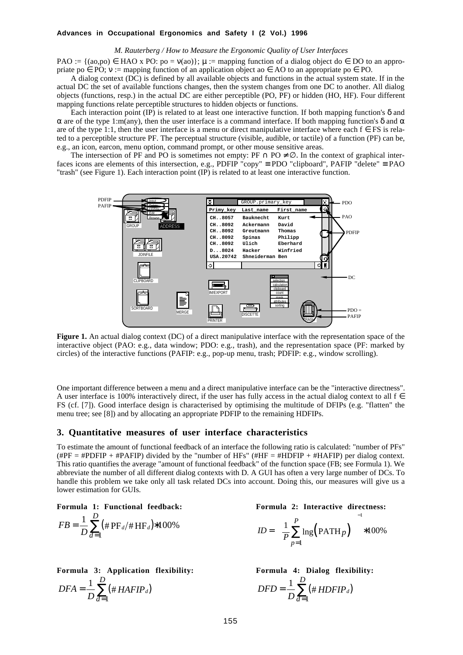## **Advances in Occupational Ergonomics and Safety I (2 Vol.) 1996**

#### *M. Rauterberg / How to Measure the Ergonomic Quality of User Interfaces*

 $PAO := \{(a0, p0) \in HAO \times PO: p0 = v(a0)\}\;$ ;  $\mu :=$  mapping function of a dialog object do  $\in DO$  to an appropriate po  $\in$  PO;  $v :=$  mapping function of an application object ao  $\in$  AO to an appropriate po  $\in$  PO.

A dialog context (DC) is defined by all available objects and functions in the actual system state. If in the actual DC the set of available functions changes, then the system changes from one DC to another. All dialog objects (functions, resp.) in the actual DC are either perceptible (PO, PF) or hidden (HO, HF). Four different mapping functions relate perceptible structures to hidden objects or functions.

Each interaction point (IP) is related to at least one interactive function. If both mapping function's δ and α are of the type 1:m(any), then the user interface is a command interface. If both mapping function's δ and  $α$ are of the type 1:1, then the user interface is a menu or direct manipulative interface where each  $f \in FS$  is related to a perceptible structure PF. The perceptual structure (visible, audible, or tactile) of a function (PF) can be, e.g., an icon, earcon, menu option, command prompt, or other mouse sensitive areas.

The intersection of PF and PO is sometimes not empty: PF  $\cap$  PO  $\neq \emptyset$ . In the context of graphical interfaces icons are elements of this intersection, e.g., PDFIP "copy" ≡ PDO "clipboard", PAFIP "delete" ≡ PAO "trash" (see Figure 1). Each interaction point (IP) is related to at least one interactive function.



**Figure 1.** An actual dialog context (DC) of a direct manipulative interface with the representation space of the interactive object (PAO: e.g., data window; PDO: e.g., trash), and the representation space (PF: marked by circles) of the interactive functions (PAFIP: e.g., pop-up menu, trash; PDFIP: e.g., window scrolling).

One important difference between a menu and a direct manipulative interface can be the "interactive directness". A user interface is 100% interactively direct, if the user has fully access in the actual dialog context to all  $f \in$ FS (cf. [7]). Good interface design is characterised by optimising the multitude of DFIPs (e.g. "flatten" the menu tree; see [8]) and by allocating an appropriate PDFIP to the remaining HDFIPs.

# **3. Quantitative measures of user interface characteristics**

To estimate the amount of functional feedback of an interface the following ratio is calculated: "number of PFs" (#PF = #PDFIP + #PAFIP) divided by the "number of HFs" (#HF = #HDFIP + #HAFIP) per dialog context. This ratio quantifies the average "amount of functional feedback" of the function space (FB; see Formula 1). We abbreviate the number of all different dialog contexts with D. A GUI has often a very large number of DCs. To handle this problem we take only all task related DCs into account. Doing this, our measures will give us a lower estimation for GUIs.

Formula 1: Functional feedback:  
\n
$$
FB = \frac{1}{D} \sum_{d=1}^{D} (\# \text{PF}_d / \# \text{HF}_d) * 100\%
$$

Formula 3: Application flexibility:  

$$
DFA = \frac{1}{D} \sum_{d=1}^{D} (\# HAFIP_d)
$$

Formula 2: Interactive directness: 
$$
\overline{S} = \overline{S}
$$

$$
ID = \left\{ \frac{1}{P} \sum_{p=1}^{P} \ln g \left( \text{PATH}_p \right) \right\} * 100\%
$$

**Formula 4: Dialog flexibility:**

$$
DFD = \frac{1}{D} \sum_{d=1}^{D} (\# HDFIP_d)
$$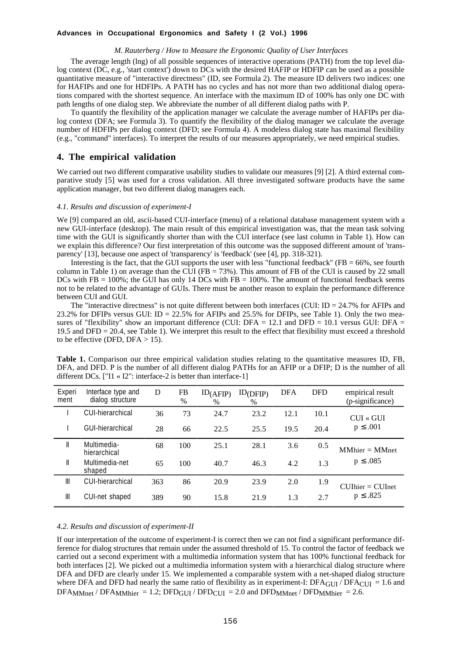## **Advances in Occupational Ergonomics and Safety I (2 Vol.) 1996**

#### *M. Rauterberg / How to Measure the Ergonomic Quality of User Interfaces*

The average length (lng) of all possible sequences of interactive operations (PATH) from the top level dialog context (DC, e.g., 'start context') down to DCs with the desired HAFIP or HDFIP can be used as a possible quantitative measure of "interactive directness" (ID, see Formula 2). The measure ID delivers two indices: one for HAFIPs and one for HDFIPs. A PATH has no cycles and has not more than two additional dialog operations compared with the shortest sequence. An interface with the maximum ID of 100% has only one DC with path lengths of one dialog step. We abbreviate the number of all different dialog paths with P.

To quantify the flexibility of the application manager we calculate the average number of HAFIPs per dialog context (DFA; see Formula 3). To quantify the flexibility of the dialog manager we calculate the average number of HDFIPs per dialog context (DFD; see Formula 4). A modeless dialog state has maximal flexibility (e.g., "command" interfaces). To interpret the results of our measures appropriately, we need empirical studies.

# **4. The empirical validation**

We carried out two different comparative usability studies to validate our measures [9] [2]. A third external comparative study [5] was used for a cross validation. All three investigated software products have the same application manager, but two different dialog managers each.

#### *4.1. Results and discussion of experiment-I*

We [9] compared an old, ascii-based CUI-interface (menu) of a relational database management system with a new GUI-interface (desktop). The main result of this empirical investigation was, that the mean task solving time with the GUI is significantly shorter than with the CUI interface (see last column in Table 1). How can we explain this difference? Our first interpretation of this outcome was the supposed different amount of 'transparency' [13], because one aspect of 'transparency' is 'feedback' (see [4], pp. 318-321).

Interesting is the fact, that the GUI supports the user with less "functional feedback" (FB =  $66\%$ , see fourth column in Table 1) on average than the CUI (FB = 73%). This amount of FB of the CUI is caused by 22 small DCs with FB = 100%; the GUI has only 14 DCs with FB = 100%. The amount of functional feedback seems not to be related to the advantage of GUIs. There must be another reason to explain the performance difference between CUI and GUI.

The "interactive directness" is not quite different between both interfaces (CUI: ID =  $24.7\%$  for AFIPs and 23.2% for DFIPs versus GUI: ID = 22.5% for AFIPs and 25.5% for DFIPs, see Table 1). Only the two measures of "flexibility" show an important difference (CUI:  $DFA = 12.1$  and  $DFD = 10.1$  versus GUI:  $DFA =$ 19.5 and DFD = 20.4, see Table 1). We interpret this result to the effect that flexibility must exceed a threshold to be effective (DFD,  $DFA > 15$ ).

| Experi<br>ment | Interface type and<br>dialog structure | D   | <b>FB</b><br>$\%$ | ID(AFIP)<br>% | ID(DFIP)<br>$\%$ | <b>DFA</b> | <b>DFD</b> | empirical result<br>(p-significance) |
|----------------|----------------------------------------|-----|-------------------|---------------|------------------|------------|------------|--------------------------------------|
|                | CUL-hierarchical                       | 36  | 73                | 24.7          | 23.2             | 12.1       | 10.1       | CUI « GUI<br>$p \leq .001$           |
|                | GUI-hierarchical                       | 28  | 66                | 22.5          | 25.5             | 19.5       | 20.4       |                                      |
| Ш              | Multimedia-<br>hierarchical            | 68  | 100               | 25.1          | 28.1             | 3.6        | 0.5        | $MM$ hier = MMnet<br>$p \leq .085$   |
| Ш              | Multimedia-net<br>shaped               | 65  | 100               | 40.7          | 46.3             | 4.2        | 1.3        |                                      |
| Ш              | CUI-hierarchical                       | 363 | 86                | 20.9          | 23.9             | 2.0        | 1.9        | $CUIhier = CUInet$<br>$p \leq .825$  |
| Ш              | CUI-net shaped                         | 389 | 90                | 15.8          | 21.9             | 1.3        | 2.7        |                                      |

**Table 1.** Comparison our three empirical validation studies relating to the quantitative measures ID, FB, DFA, and DFD. P is the number of all different dialog PATHs for an AFIP or a DFIP; D is the number of all different DCs. ["I1 « I2": interface-2 is better than interface-1]

### *4.2. Results and discussion of experiment-II*

If our interpretation of the outcome of experiment-I is correct then we can not find a significant performance difference for dialog structures that remain under the assumed threshold of 15. To control the factor of feedback we carried out a second experiment with a multimedia information system that has 100% functional feedback for both interfaces [2]. We picked out a multimedia information system with a hierarchical dialog structure where DFA and DFD are clearly under 15. We implemented a comparable system with a net-shaped dialog structure where DFA and DFD had nearly the same ratio of flexibility as in experiment-I:  $DFA_{GUI} / DFA_{CUI} = 1.6$  and  $DFA_{MMnet}$  /  $DFA_{MMhier} = 1.2$ ;  $DFD_{GUI}$  /  $DFD_{CUI} = 2.0$  and  $DFD_{MMnet}$  /  $DFD_{MMhier} = 2.6$ .